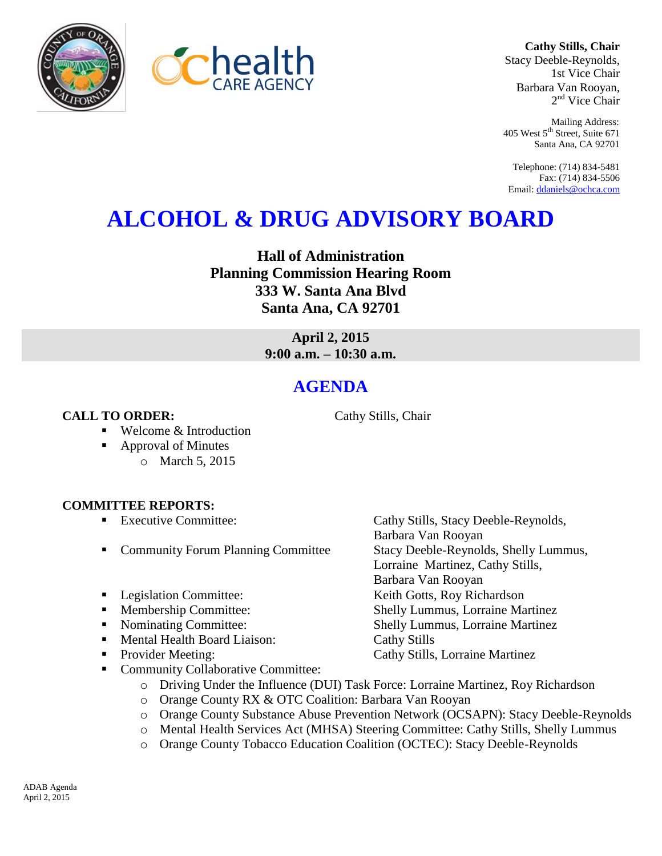



**Cathy Stills, Chair** Stacy Deeble-Reynolds, 1st Vice Chair Barbara Van Rooyan, 2<sup>nd</sup> Vice Chair

Mailing Address: 405 West 5<sup>th</sup> Street, Suite 671 Santa Ana, CA 92701

Telephone: (714) 834-5481 Fax: (714) 834-5506 Email[: ddaniels@ochca.com](mailto:ddaniels@ochca.com)

## **ALCOHOL & DRUG ADVISORY BOARD**

**Hall of Administration Planning Commission Hearing Room 333 W. Santa Ana Blvd Santa Ana, CA 92701**

> **April 2, 2015 9:00 a.m. – 10:30 a.m.**

## **AGENDA**

**CALL TO ORDER:** Cathy Stills, Chair

- Welcome & Introduction
- Approval of Minutes
	- o March 5, 2015

## **COMMITTEE REPORTS:**

- Executive Committee: Cathy Stills, Stacy Deeble-Reynolds,
- Community Forum Planning Committee Stacy Deeble-Reynolds, Shelly Lummus,
- Legislation Committee: Keith Gotts, Roy Richardson
- Membership Committee: Shelly Lummus, Lorraine Martinez
- Nominating Committee: Shelly Lummus, Lorraine Martinez
- Mental Health Board Liaison: Cathy Stills
- **Provider Meeting:** Cathy Stills, Lorraine Martinez
- Community Collaborative Committee:
	- o Driving Under the Influence (DUI) Task Force: Lorraine Martinez, Roy Richardson
	- o Orange County RX & OTC Coalition: Barbara Van Rooyan
	- o Orange County Substance Abuse Prevention Network (OCSAPN): Stacy Deeble-Reynolds

Barbara Van Rooyan

Barbara Van Rooyan

Lorraine Martinez, Cathy Stills,

- o Mental Health Services Act (MHSA) Steering Committee: Cathy Stills, Shelly Lummus
- o Orange County Tobacco Education Coalition (OCTEC): Stacy Deeble-Reynolds

ADAB Agenda April 2, 2015